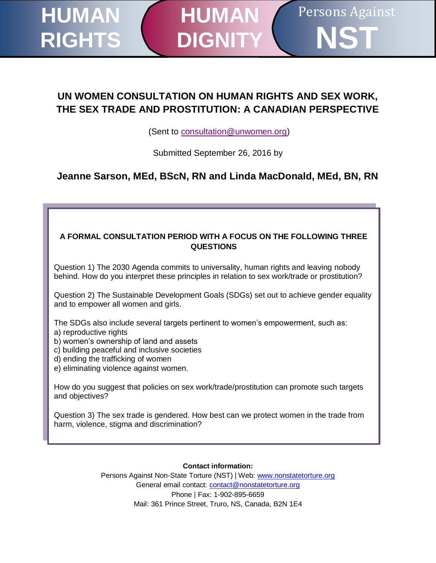# **UN WOMEN CONSULTATION ON HUMAN RIGHTS AND SEX WORK, THE SEX TRADE AND PROSTITUTION: A CANADIAN PERSPECTIVE**

**HUMAN**

**DIGNI** 

Persons Against

**NST**

(Sent to [consultation@unwomen.org\)](mailto:consultation@unwomen.org)

Submitted September 26, 2016 by

**Jeanne Sarson, MEd, BScN, RN and Linda MacDonald, MEd, BN, RN**

#### **A FORMAL CONSULTATION PERIOD WITH A FOCUS ON THE FOLLOWING THREE QUESTIONS**

Question 1) The 2030 Agenda commits to universality, human rights and leaving nobody behind. How do you interpret these principles in relation to sex work/trade or prostitution?

Question 2) The Sustainable Development Goals (SDGs) set out to achieve gender equality and to empower all women and girls.

The SDGs also include several targets pertinent to women's empowerment, such as: a) reproductive rights

- b) women's ownership of land and assets
- c) building peaceful and inclusive societies
- d) ending the trafficking of women

**HUMAN**

**RIGHTS**

e) eliminating violence against women.

How do you suggest that policies on sex work/trade/prostitution can promote such targets and objectives?

Question 3) The sex trade is gendered. How best can we protect women in the trade from harm, violence, stigma and discrimination?

**Contact information:** 

Persons Against Non-State Torture (NST) | Web: [www.nonstatetorture.org](http://www.nonstatetorture.org/) General email contact: [contact@nonstatetorture.org](mailto:contact@nonstatetorture.org) Phone | Fax: 1-902-895-6659 Mail: 361 Prince Street, Truro, NS, Canada, B2N 1E4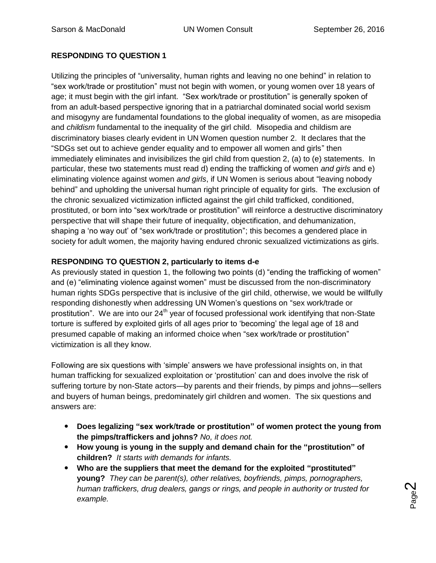## **RESPONDING TO QUESTION 1**

Utilizing the principles of "universality, human rights and leaving no one behind" in relation to "sex work/trade or prostitution" must not begin with women, or young women over 18 years of age; it must begin with the girl infant. "Sex work/trade or prostitution" is generally spoken of from an adult-based perspective ignoring that in a patriarchal dominated social world sexism and misogyny are fundamental foundations to the global inequality of women, as are misopedia and *childism* fundamental to the inequality of the girl child. Misopedia and childism are discriminatory biases clearly evident in UN Women question number 2. It declares that the "SDGs set out to achieve gender equality and to empower all women and girls" then immediately eliminates and invisibilizes the girl child from question 2, (a) to (e) statements. In particular, these two statements must read d) ending the trafficking of women *and girls* and e) eliminating violence against women *and girls*, if UN Women is serious about "leaving nobody behind" and upholding the universal human right principle of equality for girls. The exclusion of the chronic sexualized victimization inflicted against the girl child trafficked, conditioned, prostituted, or born into "sex work/trade or prostitution" will reinforce a destructive discriminatory perspective that will shape their future of inequality, objectification, and dehumanization, shaping a 'no way out' of "sex work/trade or prostitution"; this becomes a gendered place in society for adult women, the majority having endured chronic sexualized victimizations as girls.

## **RESPONDING TO QUESTION 2, particularly to items d-e**

As previously stated in question 1, the following two points (d) "ending the trafficking of women" and (e) "eliminating violence against women" must be discussed from the non-discriminatory human rights SDGs perspective that is inclusive of the girl child, otherwise, we would be willfully responding dishonestly when addressing UN Women's questions on "sex work/trade or prostitution". We are into our  $24<sup>th</sup>$  year of focused professional work identifying that non-State torture is suffered by exploited girls of all ages prior to 'becoming' the legal age of 18 and presumed capable of making an informed choice when "sex work/trade or prostitution" victimization is all they know.

Following are six questions with 'simple' answers we have professional insights on, in that human trafficking for sexualized exploitation or 'prostitution' can and does involve the risk of suffering torture by non-State actors—by parents and their friends, by pimps and johns—sellers and buyers of human beings, predominately girl children and women. The six questions and answers are:

- **Does legalizing "sex work/trade or prostitution" of women protect the young from the pimps/traffickers and johns?** *No, it does not.*
- **How young is young in the supply and demand chain for the "prostitution" of children?** *It starts with demands for infants.*
- **Who are the suppliers that meet the demand for the exploited "prostituted" young?** *They can be parent(s), other relatives, boyfriends, pimps, pornographers, human traffickers, drug dealers, gangs or rings, and people in authority or trusted for example.*

Page  $\boldsymbol{\sim}$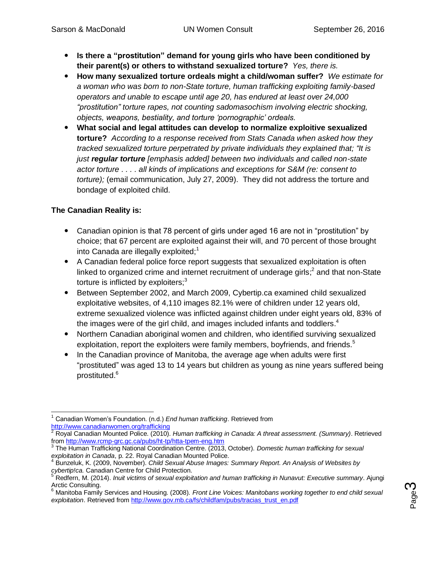- **Is there a "prostitution" demand for young girls who have been conditioned by their parent(s) or others to withstand sexualized torture?** *Yes, there is.*
- **How many sexualized torture ordeals might a child/woman suffer?** *We estimate for a woman who was born to non-State torture, human trafficking exploiting family-based operators and unable to escape until age 20, has endured at least over 24,000 "prostitution" torture rapes, not counting sadomasochism involving electric shocking, objects, weapons, bestiality, and torture 'pornographic' ordeals.*
- **What social and legal attitudes can develop to normalize exploitive sexualized torture?** *According to a response received from Stats Canada when asked how they tracked sexualized torture perpetrated by private individuals they explained that; "It is just regular torture [emphasis added] between two individuals and called non-state actor torture . . . . all kinds of implications and exceptions for S&M (re: consent to torture);* (email communication, July 27, 2009). They did not address the torture and bondage of exploited child.

# **The Canadian Reality is:**

- Canadian opinion is that 78 percent of girls under aged 16 are not in "prostitution" by choice; that 67 percent are exploited against their will, and 70 percent of those brought into Canada are illegally exploited; $<sup>1</sup>$ </sup>
- A Canadian federal police force report suggests that sexualized exploitation is often linked to organized crime and internet recruitment of underage girls;<sup>2</sup> and that non-State torture is inflicted by exploiters: $3$
- Between September 2002, and March 2009, Cybertip.ca examined child sexualized exploitative websites, of 4,110 images 82.1% were of children under 12 years old, extreme sexualized violence was inflicted against children under eight years old, 83% of the images were of the girl child, and images included infants and toddlers.<sup>4</sup>
- Northern Canadian aboriginal women and children, who identified surviving sexualized exploitation, report the exploiters were family members, boyfriends, and friends.<sup>5</sup>
- In the Canadian province of Manitoba, the average age when adults were first "prostituted" was aged 13 to 14 years but children as young as nine years suffered being prostituted. 6

Page ო

 $\overline{a}$ <sup>1</sup> Canadian Women's Foundation. (n.d.) *End human trafficking*. Retrieved from <http://www.canadianwomen.org/trafficking>

<sup>2</sup> Royal Canadian Mounted Police. (2010). *Human trafficking in Canada: A threat assessment. (Summary)*. Retrieved from <u>http://www.rcmp-grc.gc.ca/pubs/ht-tp/htta-tpem-eng.htm</u><br><sup>3</sup> The Human Trafficking National Coordination Centre. (2013, October). *Domestic human trafficking for sexual* 

*exploitation in Canada*, p. 22. Royal Canadian Mounted Police.

<sup>4</sup> Bunzeluk, K. (2009, November). *Child Sexual Abuse Images: Summary Report. An Analysis of Websites by cybertip!ca.* Canadian Centre for Child Protection.<br><sup>5</sup> Redfern M. (2044).

<sup>5</sup> Redfern, M. (2014). *Inuit victims of sexual exploitation and human trafficking in Nunavut: Executive summary*. Ajungi Arctic Consulting.

<sup>6</sup> Manitoba Family Services and Housing. (2008). *Front Line Voices: Manitobans working together to end child sexual exploitation*. Retrieved from [http://www.gov.mb.ca/fs/childfam/pubs/tracias\\_trust\\_en.pdf](http://www.gov.mb.ca/fs/childfam/pubs/tracias_trust_en.pdf)